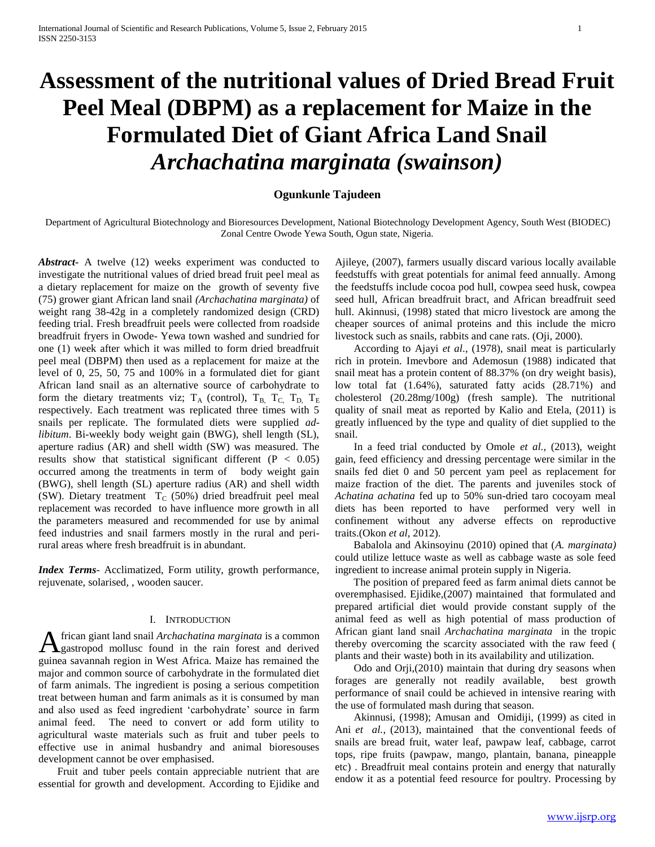# **Assessment of the nutritional values of Dried Bread Fruit Peel Meal (DBPM) as a replacement for Maize in the Formulated Diet of Giant Africa Land Snail**  *Archachatina marginata (swainson)*

# **Ogunkunle Tajudeen**

Department of Agricultural Biotechnology and Bioresources Development, National Biotechnology Development Agency, South West (BIODEC) Zonal Centre Owode Yewa South, Ogun state, Nigeria.

*Abstract***-** A twelve (12) weeks experiment was conducted to investigate the nutritional values of dried bread fruit peel meal as a dietary replacement for maize on the growth of seventy five (75) grower giant African land snail *(Archachatina marginata)* of weight rang 38-42g in a completely randomized design (CRD) feeding trial. Fresh breadfruit peels were collected from roadside breadfruit fryers in Owode- Yewa town washed and sundried for one (1) week after which it was milled to form dried breadfruit peel meal (DBPM) then used as a replacement for maize at the level of 0, 25, 50, 75 and 100% in a formulated diet for giant African land snail as an alternative source of carbohydrate to form the dietary treatments viz;  $T_A$  (control),  $T_B$ ,  $T_C$ ,  $T_D$ ,  $T_E$ respectively. Each treatment was replicated three times with 5 snails per replicate. The formulated diets were supplied *adlibitum*. Bi-weekly body weight gain (BWG), shell length (SL), aperture radius (AR) and shell width (SW) was measured. The results show that statistical significant different ( $P < 0.05$ ) occurred among the treatments in term of body weight gain (BWG), shell length (SL) aperture radius (AR) and shell width (SW). Dietary treatment  $T_C$  (50%) dried breadfruit peel meal replacement was recorded to have influence more growth in all the parameters measured and recommended for use by animal feed industries and snail farmers mostly in the rural and perirural areas where fresh breadfruit is in abundant.

*Index Terms*- Acclimatized, Form utility, growth performance, rejuvenate, solarised, , wooden saucer.

# I. INTRODUCTION

frican giant land snail *Archachatina marginata* is a common **A** frican giant land snail *Archachatina marginata* is a common gastropod mollusc found in the rain forest and derived guinea savannah region in West Africa. Maize has remained the major and common source of carbohydrate in the formulated diet of farm animals. The ingredient is posing a serious competition treat between human and farm animals as it is consumed by man and also used as feed ingredient 'carbohydrate' source in farm animal feed. The need to convert or add form utility to agricultural waste materials such as fruit and tuber peels to effective use in animal husbandry and animal bioresouses development cannot be over emphasised.

 Fruit and tuber peels contain appreciable nutrient that are essential for growth and development. According to Ejidike and

Ajileye, (2007), farmers usually discard various locally available feedstuffs with great potentials for animal feed annually. Among the feedstuffs include cocoa pod hull, cowpea seed husk, cowpea seed hull, African breadfruit bract, and African breadfruit seed hull. Akinnusi, (1998) stated that micro livestock are among the cheaper sources of animal proteins and this include the micro livestock such as snails, rabbits and cane rats. (Oji, 2000).

 According to Ajayi *et al*., (1978), snail meat is particularly rich in protein. Imevbore and Ademosun (1988) indicated that snail meat has a protein content of 88.37% (on dry weight basis), low total fat (1.64%), saturated fatty acids (28.71%) and cholesterol (20.28mg/100g) (fresh sample). The nutritional quality of snail meat as reported by Kalio and Etela, (2011) is greatly influenced by the type and quality of diet supplied to the snail.

 In a feed trial conducted by Omole *et al.*, (2013), weight gain, feed efficiency and dressing percentage were similar in the snails fed diet 0 and 50 percent yam peel as replacement for maize fraction of the diet. The parents and juveniles stock of *Achatina achatina* fed up to 50% sun-dried taro cocoyam meal diets has been reported to have performed very well in confinement without any adverse effects on reproductive traits.(Okon *et al,* 2012).

 Babalola and Akinsoyinu (2010) opined that (*A. marginata)*  could utilize lettuce waste as well as cabbage waste as sole feed ingredient to increase animal protein supply in Nigeria.

 The position of prepared feed as farm animal diets cannot be overemphasised. Ejidike,(2007) maintained that formulated and prepared artificial diet would provide constant supply of the animal feed as well as high potential of mass production of African giant land snail *Archachatina marginata* in the tropic thereby overcoming the scarcity associated with the raw feed ( plants and their waste) both in its availability and utilization.

 Odo and Orji,(2010) maintain that during dry seasons when forages are generally not readily available, best growth performance of snail could be achieved in intensive rearing with the use of formulated mash during that season.

 Akinnusi, (1998); Amusan and Omidiji, (1999) as cited in Ani *et al.*, (2013), maintained that the conventional feeds of snails are bread fruit, water leaf, pawpaw leaf, cabbage, carrot tops, ripe fruits (pawpaw, mango, plantain, banana, pineapple etc) . Breadfruit meal contains protein and energy that naturally endow it as a potential feed resource for poultry. Processing by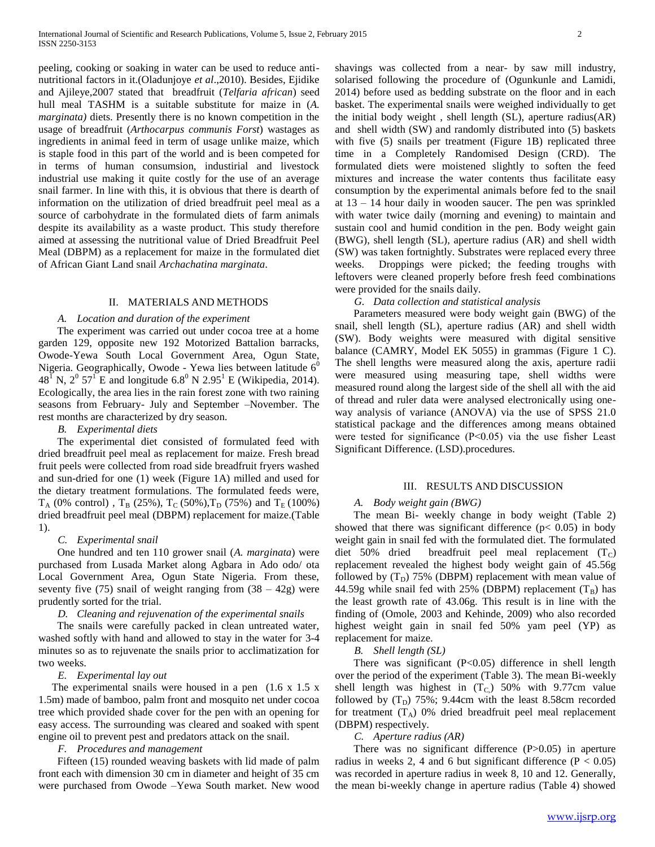peeling, cooking or soaking in water can be used to reduce antinutritional factors in it.(Oladunjoye *et al*.,2010). Besides, Ejidike and Ajileye,2007 stated that breadfruit (*Telfaria african*) seed hull meal TASHM is a suitable substitute for maize in (*A. marginata*) diets. Presently there is no known competition in the usage of breadfruit (*Arthocarpus communis Forst*) wastages as ingredients in animal feed in term of usage unlike maize, which is staple food in this part of the world and is been competed for in terms of human consumsion, industirial and livestock industrial use making it quite costly for the use of an average snail farmer. In line with this, it is obvious that there is dearth of information on the utilization of dried breadfruit peel meal as a source of carbohydrate in the formulated diets of farm animals despite its availability as a waste product. This study therefore aimed at assessing the nutritional value of Dried Breadfruit Peel Meal (DBPM) as a replacement for maize in the formulated diet of African Giant Land snail *Archachatina marginata*.

#### II. MATERIALS AND METHODS

#### *A. Location and duration of the experiment*

 The experiment was carried out under cocoa tree at a home garden 129, opposite new 192 Motorized Battalion barracks, Owode-Yewa South Local Government Area, Ogun State, Nigeria. Geographically, Owode - Yewa lies between latitude  $6<sup>0</sup>$ 48<sup>T</sup> N, 2<sup>0</sup> 57<sup>T</sup> E and longitude 6.8<sup>0</sup> N 2.95<sup>1</sup> E (Wikipedia, 2014). Ecologically, the area lies in the rain forest zone with two raining seasons from February- July and September –November. The rest months are characterized by dry season.

# *B. Experimental diets*

 The experimental diet consisted of formulated feed with dried breadfruit peel meal as replacement for maize. Fresh bread fruit peels were collected from road side breadfruit fryers washed and sun-dried for one (1) week (Figure 1A) milled and used for the dietary treatment formulations. The formulated feeds were,  $T_A$  (0% control),  $T_B$  (25%),  $T_C$  (50%),  $T_D$  (75%) and  $T_E$  (100%) dried breadfruit peel meal (DBPM) replacement for maize.(Table 1).

#### *C. Experimental snail*

 One hundred and ten 110 grower snail (*A. marginata*) were purchased from Lusada Market along Agbara in Ado odo/ ota Local Government Area, Ogun State Nigeria. From these, seventy five  $(75)$  snail of weight ranging from  $(38 - 42)$  were prudently sorted for the trial.

## *D. Cleaning and rejuvenation of the experimental snails*

 The snails were carefully packed in clean untreated water, washed softly with hand and allowed to stay in the water for 3-4 minutes so as to rejuvenate the snails prior to acclimatization for two weeks.

## *E. Experimental lay out*

The experimental snails were housed in a pen (1.6 x 1.5 x 1.5m) made of bamboo, palm front and mosquito net under cocoa tree which provided shade cover for the pen with an opening for easy access. The surrounding was cleared and soaked with spent engine oil to prevent pest and predators attack on the snail.

## *F. Procedures and management*

 Fifteen (15) rounded weaving baskets with lid made of palm front each with dimension 30 cm in diameter and height of 35 cm were purchased from Owode –Yewa South market. New wood shavings was collected from a near- by saw mill industry, solarised following the procedure of (Ogunkunle and Lamidi, 2014) before used as bedding substrate on the floor and in each basket. The experimental snails were weighed individually to get the initial body weight , shell length (SL), aperture radius(AR) and shell width (SW) and randomly distributed into (5) baskets with five (5) snails per treatment (Figure 1B) replicated three time in a Completely Randomised Design (CRD). The formulated diets were moistened slightly to soften the feed mixtures and increase the water contents thus facilitate easy consumption by the experimental animals before fed to the snail at 13 – 14 hour daily in wooden saucer. The pen was sprinkled with water twice daily (morning and evening) to maintain and sustain cool and humid condition in the pen. Body weight gain (BWG), shell length (SL), aperture radius (AR) and shell width (SW) was taken fortnightly. Substrates were replaced every three weeks. Droppings were picked; the feeding troughs with leftovers were cleaned properly before fresh feed combinations were provided for the snails daily.

#### *G. Data collection and statistical analysis*

 Parameters measured were body weight gain (BWG) of the snail, shell length (SL), aperture radius (AR) and shell width (SW). Body weights were measured with digital sensitive balance (CAMRY, Model EK 5055) in grammas (Figure 1 C). The shell lengths were measured along the axis, aperture radii were measured using measuring tape, shell widths were measured round along the largest side of the shell all with the aid of thread and ruler data were analysed electronically using oneway analysis of variance (ANOVA) via the use of SPSS 21.0 statistical package and the differences among means obtained were tested for significance (P˂0.05) via the use fisher Least Significant Difference. (LSD).procedures.

## III. RESULTS AND DISCUSSION

#### *A. Body weight gain (BWG)*

 The mean Bi- weekly change in body weight (Table 2) showed that there was significant difference ( $p$ < 0.05) in body weight gain in snail fed with the formulated diet. The formulated diet 50% dried breadfruit peel meal replacement  $(T_C)$ replacement revealed the highest body weight gain of 45.56g followed by  $(T_D)$  75% (DBPM) replacement with mean value of 44.59g while snail fed with 25% (DBPM) replacement  $(T_B)$  has the least growth rate of 43.06g. This result is in line with the finding of (Omole, 2003 and Kehinde, 2009) who also recorded highest weight gain in snail fed 50% yam peel (YP) as replacement for maize.

*B. Shell length (SL)*

There was significant  $(P<0.05)$  difference in shell length over the period of the experiment (Table 3). The mean Bi-weekly shell length was highest in  $(T_C)$  50% with 9.77cm value followed by  $(T_D)$  75%; 9.44cm with the least 8.58cm recorded for treatment  $(T_A)$  0% dried breadfruit peel meal replacement (DBPM) respectively.

# *C. Aperture radius (AR)*

There was no significant difference (P>0.05) in aperture radius in weeks 2, 4 and 6 but significant difference ( $P < 0.05$ ) was recorded in aperture radius in week 8, 10 and 12. Generally, the mean bi-weekly change in aperture radius (Table 4) showed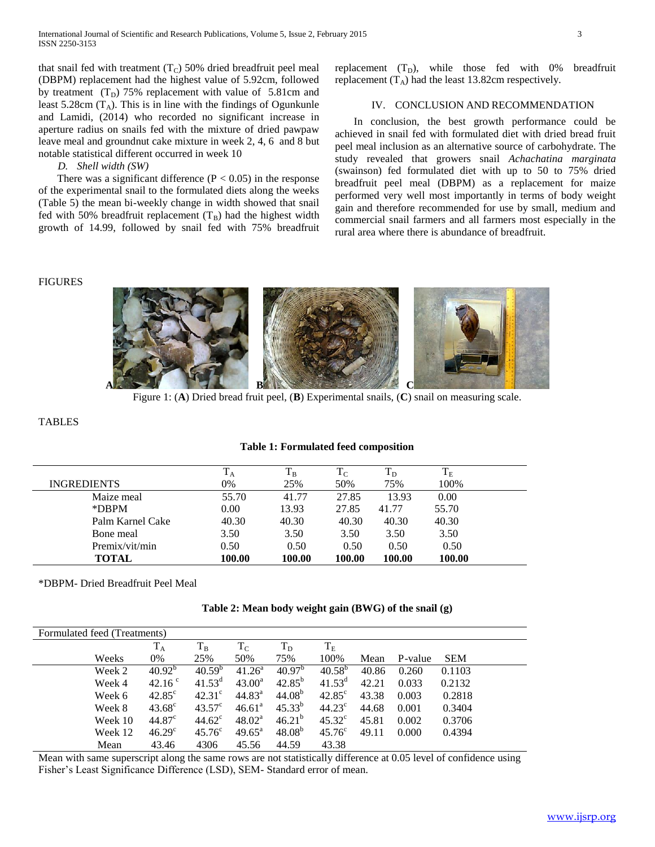that snail fed with treatment  $(T_C)$  50% dried breadfruit peel meal (DBPM) replacement had the highest value of 5.92cm, followed by treatment  $(T_D)$  75% replacement with value of 5.81cm and least 5.28cm  $(T_A)$ . This is in line with the findings of Ogunkunle and Lamidi, (2014) who recorded no significant increase in aperture radius on snails fed with the mixture of dried pawpaw leave meal and groundnut cake mixture in week 2, 4, 6 and 8 but notable statistical different occurred in week 10

## *D. Shell width (SW)*

There was a significant difference ( $P < 0.05$ ) in the response of the experimental snail to the formulated diets along the weeks (Table 5) the mean bi-weekly change in width showed that snail fed with 50% breadfruit replacement  $(T_B)$  had the highest width growth of 14.99, followed by snail fed with 75% breadfruit replacement  $(T_D)$ , while those fed with 0% breadfruit replacement  $(T_A)$  had the least 13.82cm respectively.

# IV. CONCLUSION AND RECOMMENDATION

 In conclusion, the best growth performance could be achieved in snail fed with formulated diet with dried bread fruit peel meal inclusion as an alternative source of carbohydrate. The study revealed that growers snail *Achachatina marginata* (swainson) fed formulated diet with up to 50 to 75% dried breadfruit peel meal (DBPM) as a replacement for maize performed very well most importantly in terms of body weight gain and therefore recommended for use by small, medium and commercial snail farmers and all farmers most especially in the rural area where there is abundance of breadfruit.

#### FIGURES



Figure 1: (**A**) Dried bread fruit peel, (**B**) Experimental snails, (**C**) snail on measuring scale.

## TABLES

#### **Table 1: Formulated feed composition**

|                    | $\mathbf{1}_{\mathrm{A}}$ | $\rm T_B$ | 1 <sub>C</sub> | $\rm T_D$ | $\rm T_E$ |
|--------------------|---------------------------|-----------|----------------|-----------|-----------|
| <b>INGREDIENTS</b> | 0%                        | 25%       | 50%            | 75%       | 100%      |
| Maize meal         | 55.70                     | 41.77     | 27.85          | 13.93     | 0.00      |
| *DBPM              | 0.00                      | 13.93     | 27.85          | 41.77     | 55.70     |
| Palm Karnel Cake   | 40.30                     | 40.30     | 40.30          | 40.30     | 40.30     |
| Bone meal          | 3.50                      | 3.50      | 3.50           | 3.50      | 3.50      |
| Premix/vit/min     | 0.50                      | 0.50      | 0.50           | 0.50      | 0.50      |
| TOTAL              | 100.00                    | 100.00    | 100.00         | 100.00    | 100.00    |

\*DBPM- Dried Breadfruit Peel Meal

|  | Table 2: Mean body weight gain (BWG) of the snail (g) |  |  |
|--|-------------------------------------------------------|--|--|
|  |                                                       |  |  |

| Formulated feed (Treatments) |                    |                 |                    |                    |                    |       |         |            |
|------------------------------|--------------------|-----------------|--------------------|--------------------|--------------------|-------|---------|------------|
|                              | $T_A$              | $T_B$           | $T_{\rm C}$        | $\rm T_D$          | $T_E$              |       |         |            |
| Weeks                        | 0%                 | 25%             | 50%                | 75%                | 100%               | Mean  | P-value | <b>SEM</b> |
| Week 2                       | $40.92^{\rm b}$    | $40.59^{b}$     | $41.26^a$          | 40.97 <sup>b</sup> | $40.58^{b}$        | 40.86 | 0.260   | 0.1103     |
| Week 4                       | 42.16 $\degree$    | $41.53^d$       | $43.00^{\rm a}$    | $42.85^{b}$        | $41.53^{\text{d}}$ | 42.21 | 0.033   | 0.2132     |
| Week 6                       | $42.85^{\circ}$    | $42.31^{\circ}$ | 44.83 <sup>a</sup> | 44.08 <sup>b</sup> | $42.85^{\circ}$    | 43.38 | 0.003   | 0.2818     |
| Week 8                       | $43.68^{\circ}$    | $43.57^{\circ}$ | 46.61 <sup>a</sup> | $45.33^{b}$        | $44.23^{\circ}$    | 44.68 | 0.001   | 0.3404     |
| Week 10                      | $44.87^\circ$      | $44.62^{\circ}$ | 48.02 <sup>a</sup> | $46.21^{b}$        | $45.32^{\circ}$    | 45.81 | 0.002   | 0.3706     |
| Week 12                      | 46.29 <sup>c</sup> | $45.76^{\circ}$ | $49.65^{\text{a}}$ | $48.08^{b}$        | $45.76^{\circ}$    | 49.11 | 0.000   | 0.4394     |
| Mean                         | 43.46              | 4306            | 45.56              | 44.59              | 43.38              |       |         |            |

Mean with same superscript along the same rows are not statistically difference at 0.05 level of confidence using Fisher's Least Significance Difference (LSD), SEM- Standard error of mean.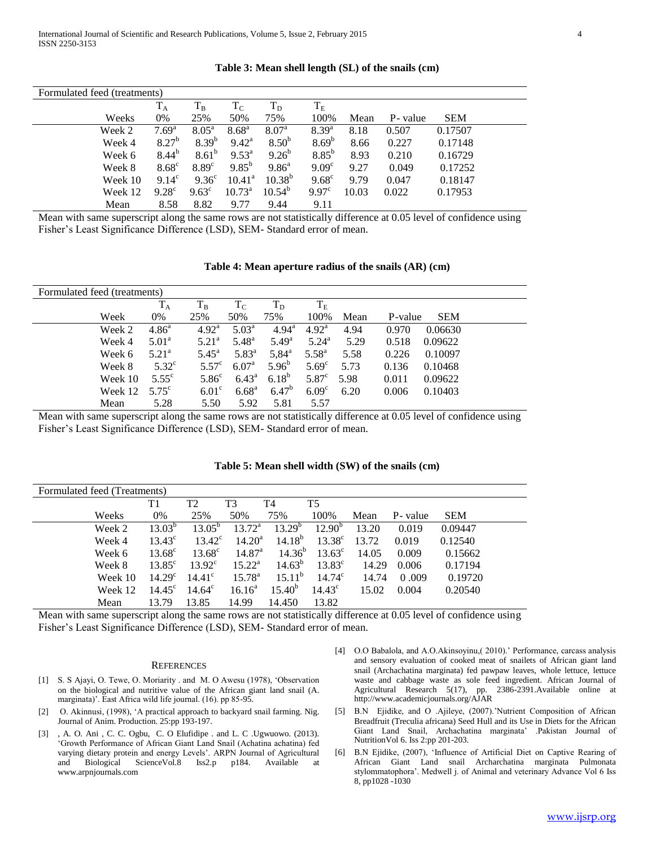| Formulated feed (treatments) |         |                   |                   |                   |                   |                   |       |          |            |  |
|------------------------------|---------|-------------------|-------------------|-------------------|-------------------|-------------------|-------|----------|------------|--|
|                              |         | $T_A$             | $T_B$             | $T_{\rm C}$       | $T_D$             | $\rm T_E$         |       |          |            |  |
|                              | Weeks   | 0%                | 25%               | 50%               | 75%               | 100%              | Mean  | P- value | <b>SEM</b> |  |
|                              | Week 2  | 7.69 <sup>a</sup> | $8.05^{\rm a}$    | $8.68^{a}$        | 8.07 <sup>a</sup> | $8.39^{a}$        | 8.18  | 0.507    | 0.17507    |  |
|                              | Week 4  | $8.27^{b}$        | $8.39^{b}$        | $9.42^{\rm a}$    | 8.50 <sup>b</sup> | $8.69^{b}$        | 8.66  | 0.227    | 0.17148    |  |
|                              | Week 6  | $8.44^{b}$        | $8.61^{b}$        | $9.53^{\text{a}}$ | $9.26^{b}$        | $8.85^{\rm b}$    | 8.93  | 0.210    | 0.16729    |  |
|                              | Week 8  | $8.68^{\circ}$    | 8.89 <sup>c</sup> | $9.85^{b}$        | $9.86^{a}$        | 9.09 <sup>c</sup> | 9.27  | 0.049    | 0.17252    |  |
|                              | Week 10 | $9.14^{\circ}$    | $9.36^{\circ}$    | $10.41^{\circ}$   | $10.38^{b}$       | $9.68^{\circ}$    | 9.79  | 0.047    | 0.18147    |  |
|                              | Week 12 | $9.28^{\circ}$    | $9.63^{\circ}$    | $10.73^{\circ}$   | $10.54^{b}$       | $9.97^{\circ}$    | 10.03 | 0.022    | 0.17953    |  |
|                              | Mean    | 8.58              | 8.82              | 9.77              | 9.44              | 9.11              |       |          |            |  |

#### **Table 3: Mean shell length (SL) of the snails (cm)**

Mean with same superscript along the same rows are not statistically difference at 0.05 level of confidence using Fisher's Least Significance Difference (LSD), SEM- Standard error of mean.

**Table 4: Mean aperture radius of the snails (AR) (cm)**

| Formulated feed (treatments) |                   |                   |                |                |                   |      |         |            |  |
|------------------------------|-------------------|-------------------|----------------|----------------|-------------------|------|---------|------------|--|
|                              | $T_A$             | $T_B$             | $T_{\rm C}$    | $T_D$          | $T_{\rm E}$       |      |         |            |  |
| Week                         | 0%                | 25%               | 50%            | 75%            | 100%              | Mean | P-value | <b>SEM</b> |  |
| Week 2                       | $4.86^{\circ}$    | $4.92^{\rm a}$    | $5.03^{\rm a}$ | $4.94^{\rm a}$ | $4.92^{\rm a}$    | 4.94 | 0.970   | 0.06630    |  |
| Week 4                       | 5.01 <sup>a</sup> | $5.21^{\circ}$    | $5.48^{\rm a}$ | $5.49^{\rm a}$ | $5.24^{\rm a}$    | 5.29 | 0.518   | 0.09622    |  |
| Week 6                       | $5.21^{\circ}$    | $5.45^{\rm a}$    | $5.83^{\rm a}$ | $5,84^{\circ}$ | $5.58^{a}$        | 5.58 | 0.226   | 0.10097    |  |
| Week 8                       | $5.32^{\circ}$    | $5.57^{\circ}$    | $6.07^{\rm a}$ | $5.96^{b}$     | $5.69^\circ$      | 5.73 | 0.136   | 0.10468    |  |
| Week 10                      | $5.55^{\circ}$    | 5.86 <sup>c</sup> | $6.43^{\circ}$ | $6.18^{b}$     | 5.87 <sup>c</sup> | 5.98 | 0.011   | 0.09622    |  |
| Week 12                      | $5.75^{\circ}$    | 6.01 <sup>c</sup> | $6.68^{\rm a}$ | $6.47^{b}$     | 6.09 <sup>c</sup> | 6.20 | 0.006   | 0.10403    |  |
| Mean                         | 5.28              | 5.50              | 5.92           | 5.81           | 5.57              |      |         |            |  |

Mean with same superscript along the same rows are not statistically difference at 0.05 level of confidence using Fisher's Least Significance Difference (LSD), SEM- Standard error of mean.

| Formulated feed (Treatments) |                            |                 |                    |             |                 |       |          |            |  |
|------------------------------|----------------------------|-----------------|--------------------|-------------|-----------------|-------|----------|------------|--|
|                              | T <sub>1</sub>             | T <sub>2</sub>  | T <sub>3</sub>     | T4          | <b>T5</b>       |       |          |            |  |
|                              | Weeks<br>0%                | 25%             | 50%                | 75%         | 100%            | Mean  | P- value | <b>SEM</b> |  |
|                              | $13.03^{b}$<br>Week 2      | $13.05^{\rm b}$ | $13.72^a$          | $13.29^{b}$ | $12.90^{b}$     | 13.20 | 0.019    | 0.09447    |  |
|                              | $13.43^{\circ}$<br>Week 4  | $13.42^{\circ}$ | $14.20^{\rm a}$    | $14.18^{b}$ | $13.38^{\circ}$ | 13.72 | 0.019    | 0.12540    |  |
|                              | $13.68^{\circ}$<br>Week 6  | $13.68^{\circ}$ | 14.87 <sup>a</sup> | $14.36^{b}$ | $13.63^{\circ}$ | 14.05 | 0.009    | 0.15662    |  |
|                              | $13.85^{\circ}$<br>Week 8  | $13.92^{\circ}$ | $15.22^{\rm a}$    | $14.63^{b}$ | $13.83^{\circ}$ | 14.29 | 0.006    | 0.17194    |  |
|                              | $14.29^{\circ}$<br>Week 10 | $14.41^{\circ}$ | $15.78^{\rm a}$    | $15.11^{b}$ | $14.74^{\circ}$ | 14.74 | 0.009    | 0.19720    |  |
|                              | $14.45^{\circ}$<br>Week 12 | $14.64^{\circ}$ | $16.16^a$          | $15.40^{b}$ | $14.43^{\circ}$ | 15.02 | 0.004    | 0.20540    |  |
|                              | 13.79<br>Mean              | 13.85           | 14.99              | 14.450      | 13.82           |       |          |            |  |

**Table 5: Mean shell width (SW) of the snails (cm)**

Mean with same superscript along the same rows are not statistically difference at 0.05 level of confidence using Fisher's Least Significance Difference (LSD), SEM- Standard error of mean.

#### **REFERENCES**

- [1] S. S Ajayi, O. Tewe, O. Moriarity . and M. O Awesu (1978), 'Observation on the biological and nutritive value of the African giant land snail (A. marginata)'. East Africa wild life journal. (16). pp 85-95.
- [2] O. Akinnusi, (1998), 'A practical approach to backyard snail farming. Nig. Journal of Anim. Production. 25:pp 193-197.
- [3] , A. O. Ani , C. C. Ogbu, C. O Elufidipe . and L. C .Ugwuowo. (2013). 'Growth Performance of African Giant Land Snail (Achatina achatina) fed varying dietary protein and energy Levels'. ARPN Journal of Agricultural and Biological ScienceVol.8 Iss2.p p184. Available at www.arpnjournals.com
- [4] O.O Babalola, and A.O.Akinsoyinu,( 2010).' Performance, carcass analysis and sensory evaluation of cooked meat of snailets of African giant land snail (Archachatina marginata) fed pawpaw leaves, whole lettuce, lettuce waste and cabbage waste as sole feed ingredient. African Journal of Agricultural Research 5(17), pp. 2386-2391.Available online at http://www.academicjournals.org/AJAR
- [5] B.N Ejidike, and O .Ajileye, (2007).'Nutrient Composition of African Breadfruit (Treculia africana) Seed Hull and its Use in Diets for the African Giant Land Snail, Archachatina marginata' .Pakistan Journal of NutritionVol 6. Iss 2:pp 201-203.
- [6] B.N Ejidike, (2007), 'Influence of Artificial Diet on Captive Rearing of African Giant Land snail Archarchatina marginata Pulmonata stylommatophora'. Medwell j. of Animal and veterinary Advance Vol 6 Iss 8, pp1028 -1030